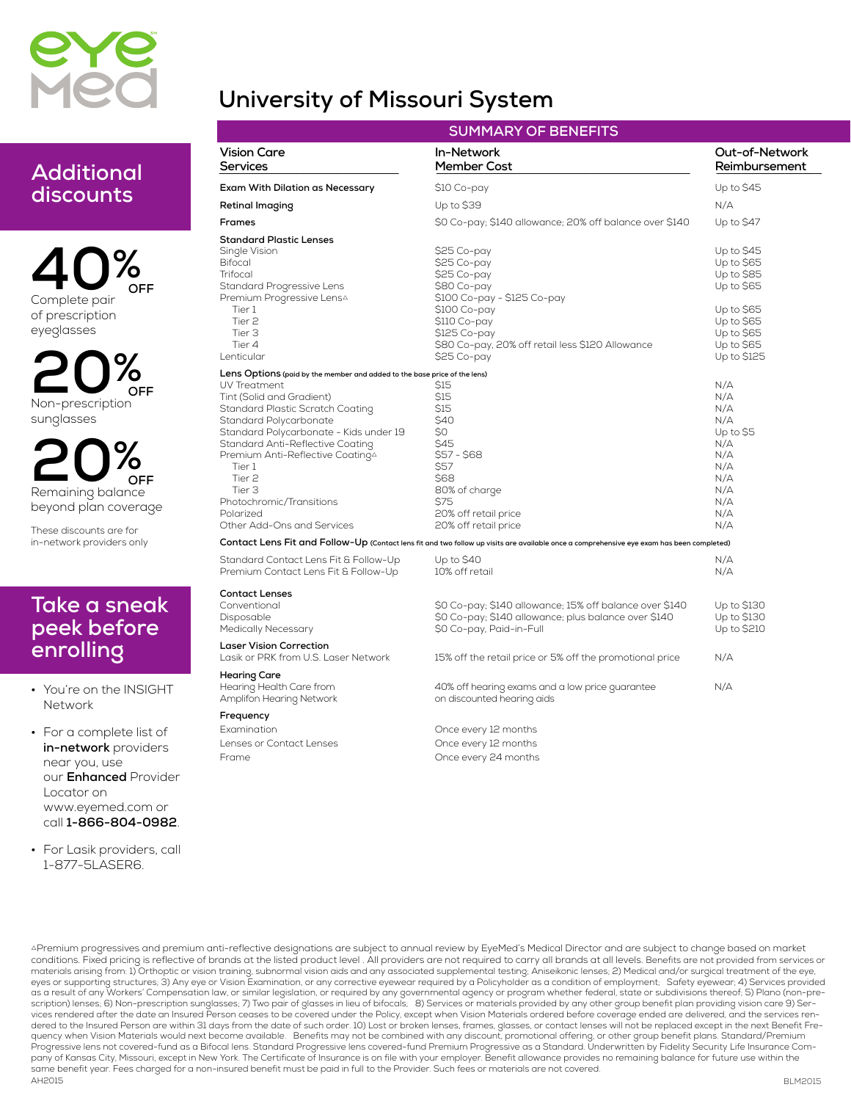

# **University of Missouri System**

## **Additional discounts**

**40% Complete pair of prescription eyeglasses OFF**

**20% Non-prescription sunglasses OFF**

**20% Remaining balance beyond plan coverage OFF**

**These discounts are for in-network providers only**

### **Take a sneak peek before enrolling**

**• You're on the INSIGHT Network**

**• For a complete list of in-network providers near you, use our Enhanced Provider Locator on www.eyemed.com or call 1-866-804-0982.**

**• For Lasik providers, call 1-877-5LASER6.**

| <b>SUMMARY OF BENEFITS</b>                                                                                                                                                                                                                                                                                                                                                                                             |                                                                                                                                                                                                                                                                                                      |                                                                                               |  |  |
|------------------------------------------------------------------------------------------------------------------------------------------------------------------------------------------------------------------------------------------------------------------------------------------------------------------------------------------------------------------------------------------------------------------------|------------------------------------------------------------------------------------------------------------------------------------------------------------------------------------------------------------------------------------------------------------------------------------------------------|-----------------------------------------------------------------------------------------------|--|--|
| <b>Vision Care</b><br>Services                                                                                                                                                                                                                                                                                                                                                                                         | In-Network<br>Member Cost                                                                                                                                                                                                                                                                            | Out-of-Network<br>Reimbursement                                                               |  |  |
| Exam With Dilation as Necessary                                                                                                                                                                                                                                                                                                                                                                                        | \$10 Co-pay                                                                                                                                                                                                                                                                                          | Up to \$45                                                                                    |  |  |
| Retinal Imaging                                                                                                                                                                                                                                                                                                                                                                                                        | Up to \$39                                                                                                                                                                                                                                                                                           | N/A                                                                                           |  |  |
| <b>Frames</b>                                                                                                                                                                                                                                                                                                                                                                                                          | \$0 Co-pay; \$140 allowance; 20% off balance over \$140                                                                                                                                                                                                                                              | Up to \$47                                                                                    |  |  |
| <b>Standard Plastic Lenses</b><br>Single Vision<br><b>Bifocal</b><br>Trifocal                                                                                                                                                                                                                                                                                                                                          | \$25 Co-pay<br>\$25 Co-pay<br>\$25 Co-pay                                                                                                                                                                                                                                                            | Up to \$45<br>Up to \$65<br>Up to \$85                                                        |  |  |
| Standard Progressive Lens<br>Premium Progressive LensA<br>Tier 1<br>Tier <sub>2</sub><br>Tier 3<br>Tier 4<br>Lenticular                                                                                                                                                                                                                                                                                                | \$80 Co-pay<br>\$100 Co-pay - \$125 Co-pay<br>S100 Co-pay<br>\$110 Co-pay<br>\$125 Co-pay<br>\$80 Co-pay, 20% off retail less \$120 Allowance<br>\$25 Co-pay                                                                                                                                         | Up to \$65<br>Up to \$65<br>Up to \$65<br>Up to \$65<br>Up to \$65<br>Up to \$125             |  |  |
| Lens Options (paid by the member and added to the base price of the lens)<br>UV Treatment<br>Tint (Solid and Gradient)<br>Standard Plastic Scratch Coating<br>Standard Polycarbonate<br>Standard Polycarbonate - Kids under 19<br>Standard Anti-Reflective Coating<br>Premium Anti-Reflective Coating△<br>Tier 1<br>Tier <sub>2</sub><br>Tier 3<br>Photochromic/Transitions<br>Polarized<br>Other Add-Ons and Services | <b>S15</b><br>\$15<br>\$15<br>\$40<br>\$0<br>\$45<br>$$57 - $68$<br>\$57<br>S68<br>80% of charge<br>S75<br>20% off retail price<br>20% off retail price<br>Contact Lens Fit and Follow-Up (Contact lens fit and two follow up visits are available once a comprehensive eye exam has been completed) | N/A<br>N/A<br>N/A<br>N/A<br>Up to \$5<br>N/A<br>N/A<br>N/A<br>N/A<br>N/A<br>N/A<br>N/A<br>N/A |  |  |
| Standard Contact Lens Fit & Follow-Up<br>Premium Contact Lens Fit & Follow-Up                                                                                                                                                                                                                                                                                                                                          | Up to \$40<br>10% off retail                                                                                                                                                                                                                                                                         | N/A<br>N/A                                                                                    |  |  |
| <b>Contact Lenses</b><br>Conventional<br>Disposable<br><b>Medically Necessary</b>                                                                                                                                                                                                                                                                                                                                      | \$0 Co-pay; \$140 allowance; 15% off balance over \$140<br>\$0 Co-pay; \$140 allowance; plus balance over \$140<br>\$0 Co-pay, Paid-in-Full                                                                                                                                                          | Up to \$130<br>Up to \$130<br>Up to \$210                                                     |  |  |
| <b>Laser Vision Correction</b><br>Lasik or PRK from U.S. Laser Network                                                                                                                                                                                                                                                                                                                                                 | 15% off the retail price or 5% off the promotional price                                                                                                                                                                                                                                             | N/A                                                                                           |  |  |
| <b>Hearing Care</b><br>Hearing Health Care from<br>Amplifon Hearing Network                                                                                                                                                                                                                                                                                                                                            | 40% off hearing exams and a low price guarantee<br>on discounted hearing aids                                                                                                                                                                                                                        | N/A                                                                                           |  |  |
| Frequency                                                                                                                                                                                                                                                                                                                                                                                                              |                                                                                                                                                                                                                                                                                                      |                                                                                               |  |  |
| Examination                                                                                                                                                                                                                                                                                                                                                                                                            | Once every 12 months                                                                                                                                                                                                                                                                                 |                                                                                               |  |  |
| Lenses or Contact Lenses<br>Frame                                                                                                                                                                                                                                                                                                                                                                                      | Once every 12 months<br>Once every 24 months                                                                                                                                                                                                                                                         |                                                                                               |  |  |

conditions. Fixed pricing is reflective of brands at the listed product level . All providers are not required to carry all brands at all levels. Benefits are not provided from services or materials arising from: 1) Orthoptic or vision training, subnormal vision aids and any associated supplemental testing; Aniseikonic lenses; 2) Medical and/or surgical treatment of the eye, **AH2015** APremium progressives and premium anti-reflective designations are subject to annual review by EyeMed's Medical Director and are subject to change based on market eyes or supporting structures; 3) Any eye or Vision Examination, or any corrective eyewear required by a Policyholder as a condition of employment; Safety eyewear; 4) Services provided as a result of any Workers' Compensation law, or similar legislation, or required by any governmental agency or program whether federal, state or subdivisions thereof; 5) Plano (non-prescription) lenses; 6) Non-prescription sunglasses; 7) Two pair of glasses in lieu of bifocals; 8) Services or materials provided by any other group benefit plan providing vision care 9) Ser-<br>vices rendered after the date a quency when Vision Materials would next become available. Benefits may not be combined with any discount, promotional offering, or other group benefit plans. Standard/Premium<br>Progressive lens not covered-fund as a Bifocal pany of Kansas City, Missouri, except in New York. The Certificate of Insurance is on file with your employer. Benefit allowance provides no remaining balance for future use within the .<br>same benefit year. Fees charged for a non-insured benefit must be paid in full to the Provider. Such fees or materials are not covered.